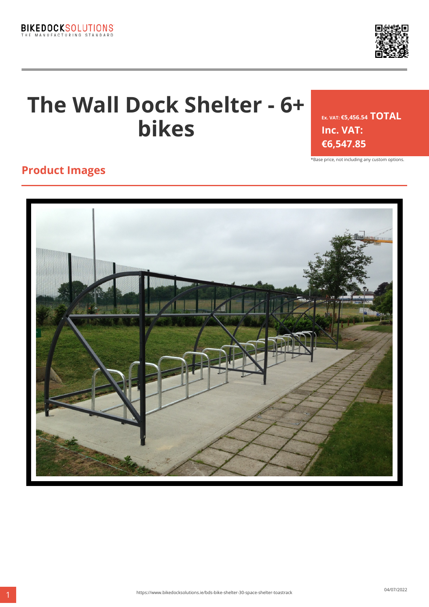

## **The Wall Dock Shelter - 6+ bikes**

**Ex. VAT: €5,456.54 TOTAL Inc. VAT: €6,547.85**

\*Base price, not including any custom options.

## **Product Images**

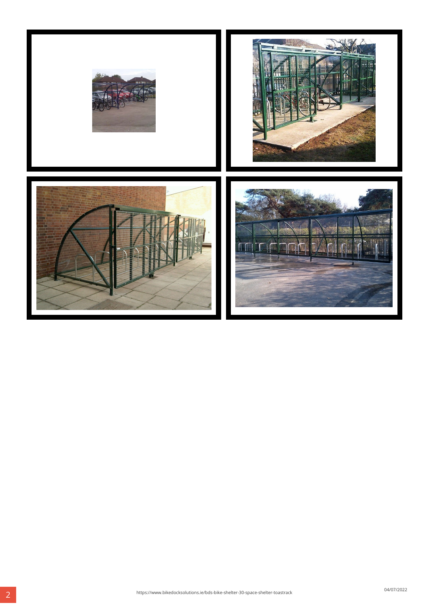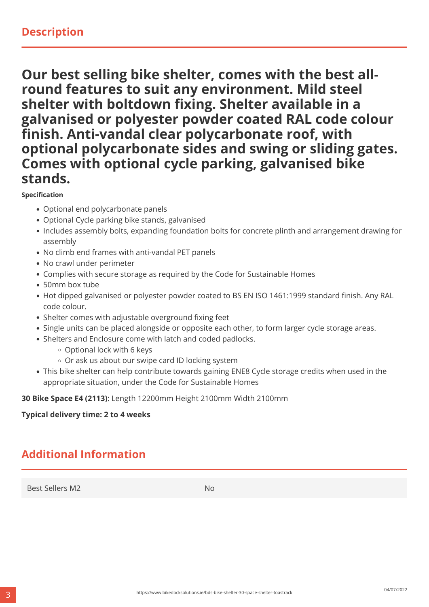**Our best selling bike shelter, comes with the best allround features to suit any environment. Mild steel shelter with boltdown fixing. Shelter available in a galvanised or polyester powder coated RAL code colour finish. Anti-vandal clear polycarbonate roof, with optional polycarbonate sides and swing or sliding gates. Comes with optional cycle parking, galvanised bike stands.**

**Specification**

- Optional end polycarbonate panels
- Optional Cycle parking bike stands, galvanised
- Includes assembly bolts, expanding foundation bolts for concrete plinth and arrangement drawing for assembly
- No climb end frames with anti-vandal PET panels
- No crawl under perimeter
- Complies with secure storage as required by the Code for Sustainable Homes
- 50mm box tube
- Hot dipped galvanised or polyester powder coated to BS EN ISO 1461:1999 standard finish. Any RAL code colour.
- Shelter comes with adjustable overground fixing feet
- Single units can be placed alongside or opposite each other, to form larger cycle storage areas.
- Shelters and Enclosure come with latch and coded padlocks.
	- Optional lock with 6 keys
	- o Or ask us about our swipe card ID locking system
- This bike shelter can help contribute towards gaining ENE8 Cycle storage credits when used in the appropriate situation, under the Code for Sustainable Homes

**30 Bike Space E4 (2113)**: Length 12200mm Height 2100mm Width 2100mm

**Typical delivery time: 2 to 4 weeks**

## **Additional Information**

Best Sellers M2 No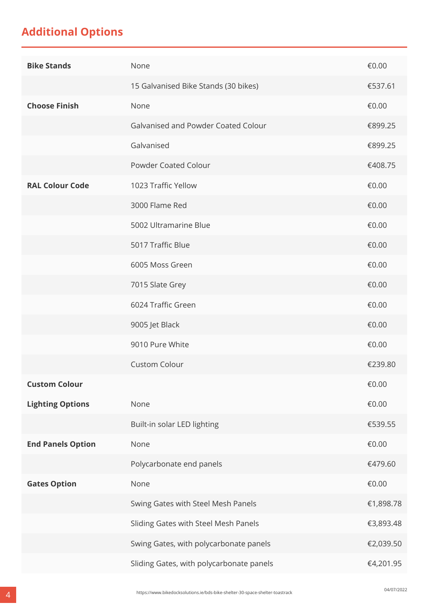## **Additional Options**

| <b>Bike Stands</b>       | None                                     | €0.00     |
|--------------------------|------------------------------------------|-----------|
|                          | 15 Galvanised Bike Stands (30 bikes)     | €537.61   |
| <b>Choose Finish</b>     | None                                     | €0.00     |
|                          | Galvanised and Powder Coated Colour      | €899.25   |
|                          | Galvanised                               | €899.25   |
|                          | <b>Powder Coated Colour</b>              | €408.75   |
| <b>RAL Colour Code</b>   | 1023 Traffic Yellow                      | €0.00     |
|                          | 3000 Flame Red                           | €0.00     |
|                          | 5002 Ultramarine Blue                    | €0.00     |
|                          | 5017 Traffic Blue                        | €0.00     |
|                          | 6005 Moss Green                          | €0.00     |
|                          | 7015 Slate Grey                          | €0.00     |
|                          | 6024 Traffic Green                       | €0.00     |
|                          | 9005 Jet Black                           | €0.00     |
|                          | 9010 Pure White                          | €0.00     |
|                          | <b>Custom Colour</b>                     | €239.80   |
| <b>Custom Colour</b>     |                                          | €0.00     |
| <b>Lighting Options</b>  | None                                     | €0.00     |
|                          | Built-in solar LED lighting              | €539.55   |
| <b>End Panels Option</b> | None                                     | €0.00     |
|                          | Polycarbonate end panels                 | €479.60   |
| <b>Gates Option</b>      | None                                     | €0.00     |
|                          | Swing Gates with Steel Mesh Panels       | €1,898.78 |
|                          | Sliding Gates with Steel Mesh Panels     | €3,893.48 |
|                          | Swing Gates, with polycarbonate panels   | €2,039.50 |
|                          | Sliding Gates, with polycarbonate panels | €4,201.95 |